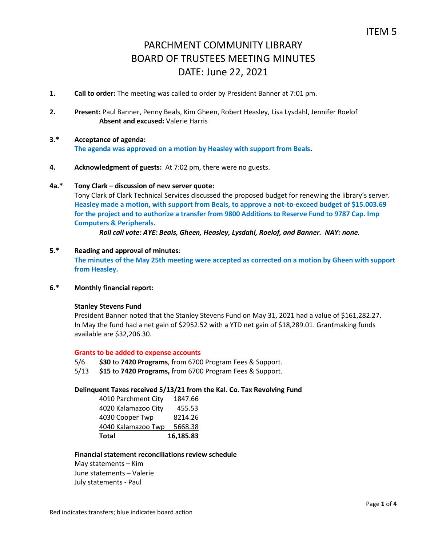- **1. Call to order:** The meeting was called to order by President Banner at 7:01 pm.
- **2. Present:** Paul Banner, Penny Beals, Kim Gheen, Robert Heasley, Lisa Lysdahl, Jennifer Roelof **Absent and excused:** Valerie Harris
- **3.\* Acceptance of agenda: The agenda was approved on a motion by Heasley with support from Beals.**
- **4. Acknowledgment of guests:** At 7:02 pm, there were no guests.

## **4a.\* Tony Clark – discussion of new server quote:**

Tony Clark of Clark Technical Services discussed the proposed budget for renewing the library's server. **Heasley made a motion, with support from Beals, to approve a not-to-exceed budget of \$15.003.69 for the project and to authorize a transfer from 9800 Additions to Reserve Fund to 9787 Cap. Imp Computers & Peripherals.** 

*Roll call vote: AYE: Beals, Gheen, Heasley, Lysdahl, Roelof, and Banner. NAY: none.*

## **5.\* Reading and approval of minutes**:

**The minutes of the May 25th meeting were accepted as corrected on a motion by Gheen with support from Heasley.** 

## **6.\* Monthly financial report:**

#### **Stanley Stevens Fund**

President Banner noted that the Stanley Stevens Fund on May 31, 2021 had a value of \$161,282.27. In May the fund had a net gain of \$2952.52 with a YTD net gain of \$18,289.01. Grantmaking funds available are \$32,206.30.

#### **Grants to be added to expense accounts**

- 5/6 **\$30** to **7420 Programs**, from 6700 Program Fees & Support.
- 5/13 **\$15** to **7420 Programs,** from 6700 Program Fees & Support.

#### **Delinquent Taxes received 5/13/21 from the Kal. Co. Tax Revolving Fund**

| 4010 Parchment City | 1847.66   |
|---------------------|-----------|
| 4020 Kalamazoo City | 455.53    |
| 4030 Cooper Twp     | 8214.26   |
| 4040 Kalamazoo Twp  | 5668.38   |
| Total               | 16,185.83 |

# **Financial statement reconciliations review schedule**

May statements – Kim June statements – Valerie July statements - Paul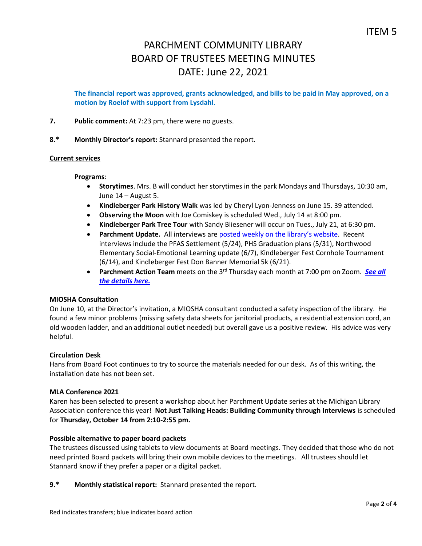**The financial report was approved, grants acknowledged, and bills to be paid in May approved, on a motion by Roelof with support from Lysdahl.**

**7. Public comment:** At 7:23 pm, there were no guests.

**8.\* Monthly Director's report:** Stannard presented the report.

## **Current services**

#### **Programs**:

- **Storytimes**. Mrs. B will conduct her storytimes in the park Mondays and Thursdays, 10:30 am, June 14 – August 5.
- **Kindleberger Park History Walk** was led by Cheryl Lyon-Jenness on June 15. 39 attended.
- **Observing the Moon** with Joe Comiskey is scheduled Wed., July 14 at 8:00 pm.
- **Kindleberger Park Tree Tour** with Sandy Bliesener will occur on Tues., July 21, at 6:30 pm.
- **Parchment Update.** All interviews are [posted weekly on the l](https://www.parchmentlibrary.org/parchment-update)ibrary's website. Recent interviews include the PFAS Settlement (5/24), PHS Graduation plans (5/31), Northwood Elementary Social-Emotional Learning update (6/7), Kindleberger Fest Cornhole Tournament (6/14), and Kindleberger Fest Don Banner Memorial 5k (6/21).
- **Parchment Action Team** meets on the 3<sup>rd</sup> Thursday each month at 7:00 pm on Zoom. **[See](https://www.parchmentlibrary.org/parchment-action-team) all** *the [details](https://www.parchmentlibrary.org/parchment-action-team) here.*

# **MIOSHA Consultation**

On June 10, at the Director's invitation, a MIOSHA consultant conducted a safety inspection of the library. He found a few minor problems (missing safety data sheets for janitorial products, a residential extension cord, an old wooden ladder, and an additional outlet needed) but overall gave us a positive review. His advice was very helpful.

#### **Circulation Desk**

Hans from Board Foot continues to try to source the materials needed for our desk. As of this writing, the installation date has not been set.

# **MLA Conference 2021**

Karen has been selected to present a workshop about her Parchment Update series at the Michigan Library Association conference this year! **Not Just Talking Heads: Building Community through Interviews** is scheduled for **Thursday, October 14 from 2:10-2:55 pm.** 

#### **Possible alternative to paper board packets**

The trustees discussed using tablets to view documents at Board meetings. They decided that those who do not need printed Board packets will bring their own mobile devices to the meetings. All trustees should let Stannard know if they prefer a paper or a digital packet.

**9.\* Monthly statistical report:** Stannard presented the report.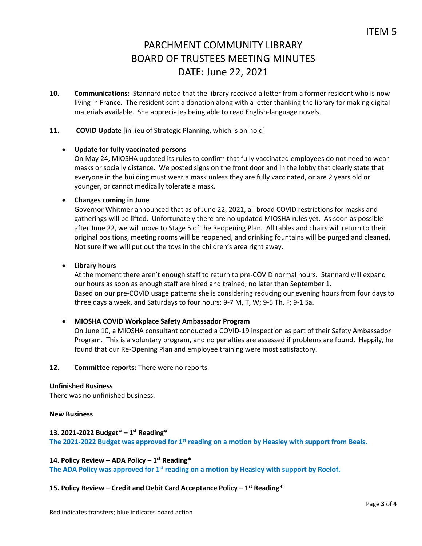**10. Communications:** Stannard noted that the library received a letter from a former resident who is now living in France. The resident sent a donation along with a letter thanking the library for making digital materials available. She appreciates being able to read English-language novels.

# **11. COVID Update** [in lieu of Strategic Planning, which is on hold]

## **Update for fully vaccinated persons**

On May 24, MIOSHA updated its rules to confirm that fully vaccinated employees do not need to wear masks or socially distance. We posted signs on the front door and in the lobby that clearly state that everyone in the building must wear a mask unless they are fully vaccinated, or are 2 years old or younger, or cannot medically tolerate a mask.

## **Changes coming in June**

Governor Whitmer announced that as of June 22, 2021, all broad COVID restrictions for masks and gatherings will be lifted. Unfortunately there are no updated MIOSHA rules yet. As soon as possible after June 22, we will move to Stage 5 of the Reopening Plan. All tables and chairs will return to their original positions, meeting rooms will be reopened, and drinking fountains will be purged and cleaned. Not sure if we will put out the toys in the children's area right away.

## **Library hours**

At the moment there aren't enough staff to return to pre-COVID normal hours. Stannard will expand our hours as soon as enough staff are hired and trained; no later than September 1. Based on our pre-COVID usage patterns she is considering reducing our evening hours from four days to three days a week, and Saturdays to four hours: 9-7 M, T, W; 9-5 Th, F; 9-1 Sa.

# **MIOSHA COVID Workplace Safety Ambassador Program**

On June 10, a MIOSHA consultant conducted a COVID-19 inspection as part of their Safety Ambassador Program. This is a voluntary program, and no penalties are assessed if problems are found. Happily, he found that our Re-Opening Plan and employee training were most satisfactory.

#### **12. Committee reports:** There were no reports.

#### **Unfinished Business**

There was no unfinished business.

#### **New Business**

# **13. 2021-2022 Budget\* – 1 st Reading\***

**The 2021-2022 Budget was approved for 1st reading on a motion by Heasley with support from Beals.** 

## **14. Policy Review – ADA Policy – 1 st Reading\***

**The ADA Policy was approved for 1st reading on a motion by Heasley with support by Roelof.**

## **15. Policy Review – Credit and Debit Card Acceptance Policy – 1 st Reading\***